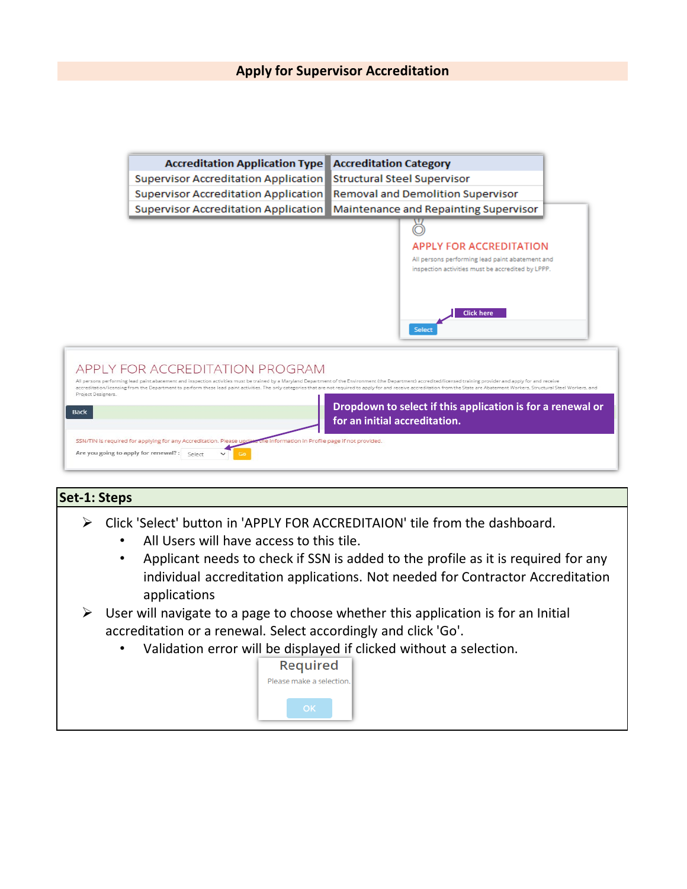| <b>Accreditation Application Type</b>                                                                                                                                                                                                                                                                                                                                                                                                                                                   | <b>Accreditation Category</b>                                                                        |
|-----------------------------------------------------------------------------------------------------------------------------------------------------------------------------------------------------------------------------------------------------------------------------------------------------------------------------------------------------------------------------------------------------------------------------------------------------------------------------------------|------------------------------------------------------------------------------------------------------|
| Supervisor Accreditation Application                                                                                                                                                                                                                                                                                                                                                                                                                                                    | Structural Steel Supervisor                                                                          |
| Supervisor Accreditation Application                                                                                                                                                                                                                                                                                                                                                                                                                                                    | <b>Removal and Demolition Supervisor</b>                                                             |
| Supervisor Accreditation Application                                                                                                                                                                                                                                                                                                                                                                                                                                                    | Maintenance and Repainting Supervisor                                                                |
|                                                                                                                                                                                                                                                                                                                                                                                                                                                                                         |                                                                                                      |
|                                                                                                                                                                                                                                                                                                                                                                                                                                                                                         | <b>APPLY FOR ACCREDITATION</b>                                                                       |
|                                                                                                                                                                                                                                                                                                                                                                                                                                                                                         | All persons performing lead paint abatement and<br>inspection activities must be accredited by LPPP. |
|                                                                                                                                                                                                                                                                                                                                                                                                                                                                                         | <b>Click here</b><br>Select                                                                          |
| APPLY FOR ACCREDITATION PROGRAM<br>All persons performing lead paint abatement and inspection activities must be trained by a Maryland Department of the Environment (the Department) accredited/licensed training provider and apply for and receive<br>accreditation/licensing from the Department to perform these lead paint activities. The only categories that are not required to apply for and receive accreditation from the State are Abatement Workers, Structural Steel Wo |                                                                                                      |
| Project Designers.<br><b>Back</b>                                                                                                                                                                                                                                                                                                                                                                                                                                                       | Dropdown to select if this application is for a renewal or<br>for an initial accreditation.          |
| SSN/TIN is required for applying for any Accreditation. Please update the information in Profile page if not provided.                                                                                                                                                                                                                                                                                                                                                                  |                                                                                                      |

Back

Are you going to apply for renewal? : Select

# **Set-1: Steps** Click 'Select' button in 'APPLY FOR ACCREDITAION' tile from the dashboard. • All Users will have access to this tile. • Applicant needs to check if SSN is added to the profile as it is required for any individual accreditation applications. Not needed for Contractor Accreditation applications  $\triangleright$  User will navigate to a page to choose whether this application is for an Initial accreditation or a renewal. Select accordingly and click 'Go'. • Validation error will be displayed if clicked without a selection. **Required** Please make a selection.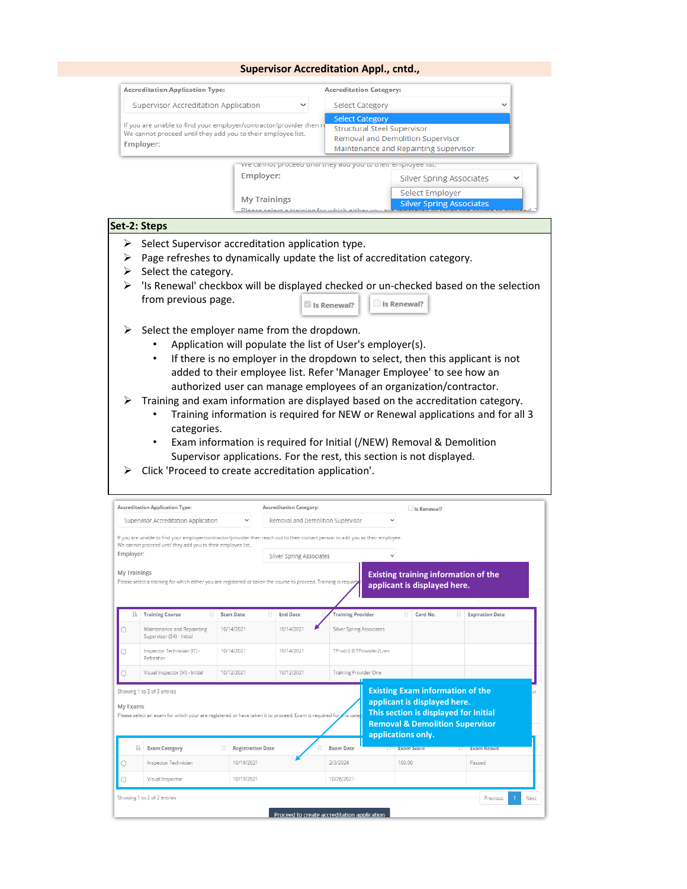|                                                                                                                                                  | <b>Accreditation Application Type:</b>                                                                                                                                                           |                          |                                                           | <b>Accreditation Category:</b>                                                                                                             |                                                                             |                                                                                      |
|--------------------------------------------------------------------------------------------------------------------------------------------------|--------------------------------------------------------------------------------------------------------------------------------------------------------------------------------------------------|--------------------------|-----------------------------------------------------------|--------------------------------------------------------------------------------------------------------------------------------------------|-----------------------------------------------------------------------------|--------------------------------------------------------------------------------------|
|                                                                                                                                                  | Supervisor Accreditation Application                                                                                                                                                             |                          |                                                           | Select Category                                                                                                                            |                                                                             |                                                                                      |
| If you are unable to find your employer/contractor/provider then re<br>We cannot proceed until they add you to their employee list.<br>Employer: |                                                                                                                                                                                                  |                          |                                                           | <b>Select Category</b><br><b>Structural Steel Supervisor</b><br>Removal and Demolition Supervisor<br>Maintenance and Repainting Supervisor |                                                                             |                                                                                      |
|                                                                                                                                                  |                                                                                                                                                                                                  |                          |                                                           |                                                                                                                                            | we cannoc proceed unaraney add you to their employee iist.                  |                                                                                      |
|                                                                                                                                                  |                                                                                                                                                                                                  |                          | Employer:                                                 |                                                                                                                                            |                                                                             | Silver Spring Associates                                                             |
|                                                                                                                                                  |                                                                                                                                                                                                  |                          | <b>My Trainings</b>                                       |                                                                                                                                            | Select Employer                                                             |                                                                                      |
|                                                                                                                                                  |                                                                                                                                                                                                  |                          | Plaaca calact a training for which aithar                 |                                                                                                                                            |                                                                             | <b>Silver Spring Associates</b>                                                      |
|                                                                                                                                                  | Set-2: Steps                                                                                                                                                                                     |                          |                                                           |                                                                                                                                            |                                                                             |                                                                                      |
| ➤                                                                                                                                                | Select Supervisor accreditation application type.                                                                                                                                                |                          |                                                           |                                                                                                                                            |                                                                             |                                                                                      |
| ➤                                                                                                                                                | Page refreshes to dynamically update the list of accreditation category.                                                                                                                         |                          |                                                           |                                                                                                                                            |                                                                             |                                                                                      |
|                                                                                                                                                  | $\triangleright$ Select the category.                                                                                                                                                            |                          |                                                           |                                                                                                                                            |                                                                             |                                                                                      |
| ⋗                                                                                                                                                |                                                                                                                                                                                                  |                          |                                                           |                                                                                                                                            |                                                                             | 'Is Renewal' checkbox will be displayed checked or un-checked based on the selection |
|                                                                                                                                                  | from previous page.                                                                                                                                                                              |                          |                                                           |                                                                                                                                            |                                                                             |                                                                                      |
|                                                                                                                                                  |                                                                                                                                                                                                  |                          |                                                           | Is Renewal?                                                                                                                                | Is Renewal?                                                                 |                                                                                      |
| ➤                                                                                                                                                | Select the employer name from the dropdown.                                                                                                                                                      |                          |                                                           |                                                                                                                                            |                                                                             |                                                                                      |
|                                                                                                                                                  |                                                                                                                                                                                                  |                          | Application will populate the list of User's employer(s). |                                                                                                                                            |                                                                             |                                                                                      |
|                                                                                                                                                  |                                                                                                                                                                                                  |                          |                                                           |                                                                                                                                            |                                                                             | If there is no employer in the dropdown to select, then this applicant is not        |
|                                                                                                                                                  |                                                                                                                                                                                                  |                          |                                                           |                                                                                                                                            | added to their employee list. Refer 'Manager Employee' to see how an        |                                                                                      |
|                                                                                                                                                  |                                                                                                                                                                                                  |                          |                                                           |                                                                                                                                            | authorized user can manage employees of an organization/contractor.         |                                                                                      |
|                                                                                                                                                  |                                                                                                                                                                                                  |                          |                                                           |                                                                                                                                            |                                                                             |                                                                                      |
|                                                                                                                                                  |                                                                                                                                                                                                  |                          |                                                           |                                                                                                                                            |                                                                             |                                                                                      |
|                                                                                                                                                  | Training and exam information are displayed based on the accreditation category.                                                                                                                 |                          |                                                           |                                                                                                                                            |                                                                             |                                                                                      |
|                                                                                                                                                  |                                                                                                                                                                                                  |                          |                                                           |                                                                                                                                            |                                                                             | Training information is required for NEW or Renewal applications and for all 3       |
|                                                                                                                                                  |                                                                                                                                                                                                  |                          |                                                           |                                                                                                                                            |                                                                             |                                                                                      |
|                                                                                                                                                  | categories.                                                                                                                                                                                      |                          |                                                           |                                                                                                                                            |                                                                             |                                                                                      |
|                                                                                                                                                  |                                                                                                                                                                                                  |                          |                                                           |                                                                                                                                            | Exam information is required for Initial (/NEW) Removal & Demolition        |                                                                                      |
|                                                                                                                                                  |                                                                                                                                                                                                  |                          |                                                           |                                                                                                                                            | Supervisor applications. For the rest, this section is not displayed.       |                                                                                      |
|                                                                                                                                                  | Click 'Proceed to create accreditation application'.                                                                                                                                             |                          |                                                           |                                                                                                                                            |                                                                             |                                                                                      |
|                                                                                                                                                  |                                                                                                                                                                                                  |                          |                                                           |                                                                                                                                            |                                                                             |                                                                                      |
|                                                                                                                                                  | <b>Accreditation Application Type:</b>                                                                                                                                                           |                          | <b>Accreditation Category:</b>                            |                                                                                                                                            | Is Renewal?                                                                 |                                                                                      |
|                                                                                                                                                  | Supervisor Accreditation Application                                                                                                                                                             |                          | Removal and Demolition Supervisor                         |                                                                                                                                            |                                                                             |                                                                                      |
|                                                                                                                                                  | If you are unable to find your employer/contractor/provider then reach out to their contact person to add you as their employee.<br>We cannot proceed until they add you to their employee list. |                          |                                                           |                                                                                                                                            |                                                                             |                                                                                      |
|                                                                                                                                                  |                                                                                                                                                                                                  |                          | Silver Spring Associates                                  |                                                                                                                                            |                                                                             |                                                                                      |
|                                                                                                                                                  |                                                                                                                                                                                                  |                          |                                                           |                                                                                                                                            |                                                                             |                                                                                      |
|                                                                                                                                                  | Please select a training for which either you are registered or taken the cour.                                                                                                                  |                          |                                                           |                                                                                                                                            | <b>Existing training information of the</b><br>applicant is displayed here. |                                                                                      |
|                                                                                                                                                  |                                                                                                                                                                                                  |                          |                                                           |                                                                                                                                            |                                                                             |                                                                                      |
|                                                                                                                                                  | <b>Training Course</b>                                                                                                                                                                           | <b>Start Date</b>        | <b>End Date</b>                                           | <b>Training Provider</b>                                                                                                                   | Card No.                                                                    | <b>Expiration Date</b>                                                               |
|                                                                                                                                                  | Maintenance and Repainting                                                                                                                                                                       | 10/14/2021               | 10/14/2021                                                | Silver Spring Associates                                                                                                                   |                                                                             |                                                                                      |
|                                                                                                                                                  | Supervisor (S4) - Initial                                                                                                                                                                        |                          |                                                           |                                                                                                                                            |                                                                             |                                                                                      |
|                                                                                                                                                  | Inspector Technician (IT) -<br>Refresher                                                                                                                                                         | 10/14/2021               | 10/14/2021                                                | TPrvdr2 B TProvider2Lnm                                                                                                                    |                                                                             |                                                                                      |
|                                                                                                                                                  | Visual Inspector (VI) - Initial                                                                                                                                                                  | 10/12/2021               | 10/12/2021                                                | Training Provider One                                                                                                                      |                                                                             |                                                                                      |
|                                                                                                                                                  |                                                                                                                                                                                                  |                          |                                                           |                                                                                                                                            |                                                                             |                                                                                      |
|                                                                                                                                                  | Showing 1 to 3 of 3 entries                                                                                                                                                                      |                          |                                                           |                                                                                                                                            | <b>Existing Exam information of the</b><br>applicant is displayed here.     |                                                                                      |
|                                                                                                                                                  | Please select an exam for which your are registered or have taken it to proceed. Exam is required for                                                                                            |                          |                                                           | nis cate <mark>r</mark>                                                                                                                    | This section is displayed for Initial                                       |                                                                                      |
|                                                                                                                                                  |                                                                                                                                                                                                  |                          |                                                           |                                                                                                                                            | <b>Removal &amp; Demolition Supervisor</b>                                  |                                                                                      |
|                                                                                                                                                  |                                                                                                                                                                                                  |                          |                                                           |                                                                                                                                            | applications only.                                                          |                                                                                      |
| Employer:<br>My Trainings<br>О<br>O<br>Э<br>My Exams<br>Jà.                                                                                      | <b>Exam Category</b>                                                                                                                                                                             | <b>Registration Date</b> |                                                           | <b>Exam Date</b>                                                                                                                           | <b>Exam Score</b><br>н.                                                     | <b>Exam Result</b><br>ч.                                                             |
| О                                                                                                                                                | Inspector Technician                                                                                                                                                                             | 10/19/2021               |                                                           | 2/3/2024                                                                                                                                   | 100.00                                                                      | Passed                                                                               |

Proceed to create accreditation application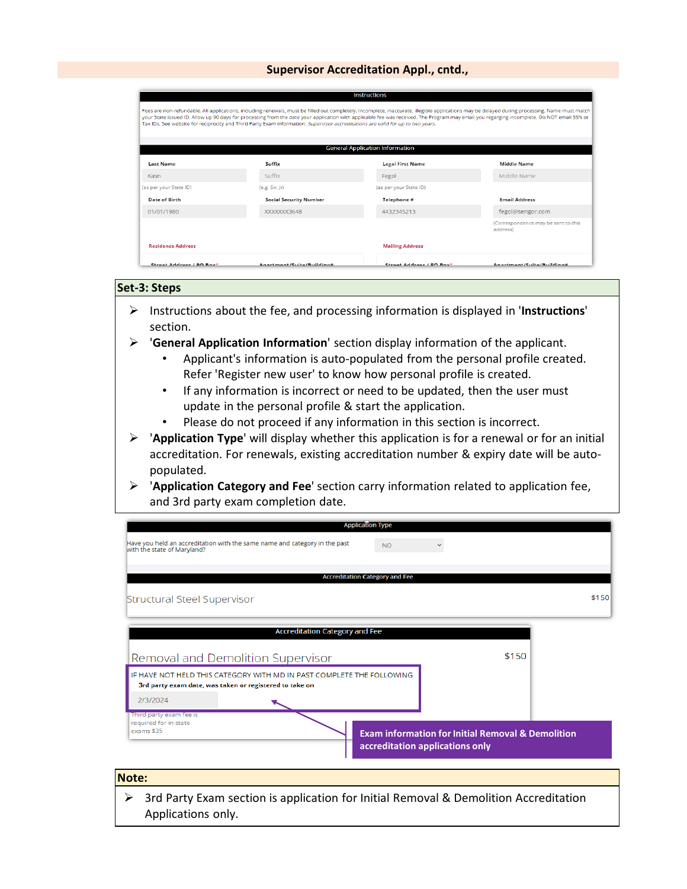|                          |                                                                                                                                                                                                                                                                                                                                                                                                                                                                                                                                 | <b>Instructions</b>                    |                                                 |
|--------------------------|---------------------------------------------------------------------------------------------------------------------------------------------------------------------------------------------------------------------------------------------------------------------------------------------------------------------------------------------------------------------------------------------------------------------------------------------------------------------------------------------------------------------------------|----------------------------------------|-------------------------------------------------|
|                          | Fees are non-refundable. All applications, including renewals, must be filled out completely. Incomplete, inaccurate, illegible applications may be delayed during processing. Name must match<br>your State issued ID. Allow up 90 days for processing from the date your application with applicable fee was received. The Program may email you regarging incomplete. Do NOT email SSN or<br>Tax IDs. See website for reciprocity and Third Party Exam information. Supervisor accreditations are valid for up to two years. |                                        |                                                 |
|                          |                                                                                                                                                                                                                                                                                                                                                                                                                                                                                                                                 | <b>General Application Information</b> |                                                 |
| <b>Last Name</b>         | Suffix                                                                                                                                                                                                                                                                                                                                                                                                                                                                                                                          | <b>Legal First Name</b>                | <b>Middle Name</b>                              |
| Kasn                     | Suffix                                                                                                                                                                                                                                                                                                                                                                                                                                                                                                                          | Fegol                                  | Middle Name                                     |
| (as per your State ID)   | (e.g. Sir,  r)                                                                                                                                                                                                                                                                                                                                                                                                                                                                                                                  | (as per your State ID)                 |                                                 |
| Date of Birth            | <b>Social Security Number</b>                                                                                                                                                                                                                                                                                                                                                                                                                                                                                                   | Telephone #                            | <b>Email Address</b>                            |
| 01/01/1980               | XXXXXX3648                                                                                                                                                                                                                                                                                                                                                                                                                                                                                                                      | 4432345213                             | fegol@serigor.com                               |
|                          |                                                                                                                                                                                                                                                                                                                                                                                                                                                                                                                                 |                                        | (Correspondence may be sent to this<br>address) |
| <b>Residence Address</b> |                                                                                                                                                                                                                                                                                                                                                                                                                                                                                                                                 | <b>Mailing Address</b>                 |                                                 |
| Street Address / PO Boys | Anartmant/Suita/Ruildina#                                                                                                                                                                                                                                                                                                                                                                                                                                                                                                       | Street Address / PO Boy*               | Anartment/Quita/Ruildina#                       |

#### **Set-3: Steps**

- Instructions about the fee, and processing information is displayed in '**Instructions**' section.
- '**General Application Information**' section display information of the applicant.
	- Applicant's information is auto-populated from the personal profile created. Refer 'Register new user' to know how personal profile is created.
	- If any information is incorrect or need to be updated, then the user must update in the personal profile & start the application.
	- Please do not proceed if any information in this section is incorrect.
- '**Application Type**' will display whether this application is for a renewal or for an initial accreditation. For renewals, existing accreditation number & expiry date will be autopopulated.
- '**Application Category and Fee**' section carry information related to application fee, and 3rd party exam completion date.

| <b>Application Type</b>                                                                                   |                                                              |
|-----------------------------------------------------------------------------------------------------------|--------------------------------------------------------------|
| Have you held an accreditation with the same name and category in the past<br>with the state of Maryland? | <b>NO</b>                                                    |
|                                                                                                           |                                                              |
| Accreditation Category and Fee                                                                            |                                                              |
| Structural Steel Supervisor                                                                               | \$150                                                        |
|                                                                                                           |                                                              |
| <b>Accreditation Category and Fee</b>                                                                     |                                                              |
| Removal and Demolition Supervisor                                                                         | \$150                                                        |
| IF HAVE NOT HELD THIS CATEGORY WITH MD IN PAST COMPLETE THE FOLLOWING                                     |                                                              |
| 3rd party exam date, was taken or registered to take on                                                   |                                                              |
| 2/3/2024                                                                                                  |                                                              |
| Third party exam fee is                                                                                   |                                                              |
| required for in-state<br>exams \$35                                                                       | <b>Exam information for Initial Removal &amp; Demolition</b> |
|                                                                                                           | accreditation applications only                              |
|                                                                                                           |                                                              |

#### **Note:**

 $\triangleright$  3rd Party Exam section is application for Initial Removal & Demolition Accreditation Applications only.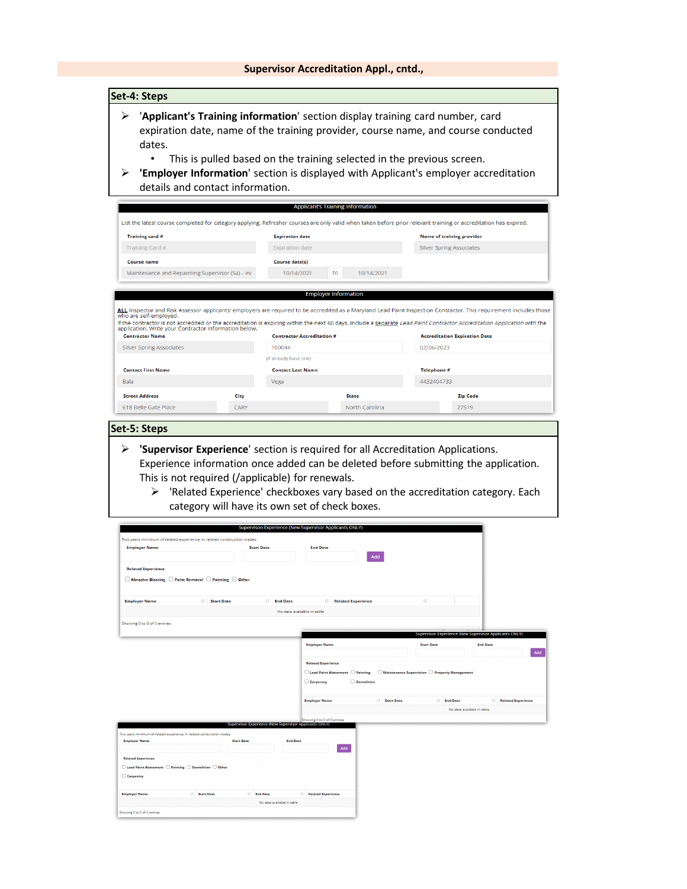| ➤                                                                                                                                                                                                                                  |                      |                                                                                       |                              | 'Applicant's Training information' section display training card number, card                                                                                          |                              |
|------------------------------------------------------------------------------------------------------------------------------------------------------------------------------------------------------------------------------------|----------------------|---------------------------------------------------------------------------------------|------------------------------|------------------------------------------------------------------------------------------------------------------------------------------------------------------------|------------------------------|
|                                                                                                                                                                                                                                    |                      |                                                                                       |                              | expiration date, name of the training provider, course name, and course conducted                                                                                      |                              |
| dates.                                                                                                                                                                                                                             |                      |                                                                                       |                              |                                                                                                                                                                        |                              |
|                                                                                                                                                                                                                                    |                      |                                                                                       |                              | This is pulled based on the training selected in the previous screen.                                                                                                  |                              |
| ➤<br>details and contact information.                                                                                                                                                                                              |                      |                                                                                       |                              | 'Employer Information' section is displayed with Applicant's employer accreditation                                                                                    |                              |
|                                                                                                                                                                                                                                    |                      |                                                                                       |                              |                                                                                                                                                                        |                              |
|                                                                                                                                                                                                                                    |                      | <b>Applicant's Training Information</b>                                               |                              |                                                                                                                                                                        |                              |
| List the latest course completed for category applying. Refresher courses are only valid when taken before prior relevant training or accreditation has expired.                                                                   |                      |                                                                                       |                              |                                                                                                                                                                        |                              |
| Training card #<br>Training Card #                                                                                                                                                                                                 |                      | <b>Expiration date</b><br><b>Expiration date</b>                                      |                              | <b>Name of training provider</b><br><b>Silver Spring Associates</b>                                                                                                    |                              |
| <b>Course name</b>                                                                                                                                                                                                                 |                      | Course date(s)                                                                        |                              |                                                                                                                                                                        |                              |
| Maintenance and Repainting Supervisor (S4) - Ini                                                                                                                                                                                   |                      | 10/14/2021                                                                            | 10/14/2021                   |                                                                                                                                                                        |                              |
|                                                                                                                                                                                                                                    |                      |                                                                                       |                              |                                                                                                                                                                        |                              |
|                                                                                                                                                                                                                                    |                      | <b>Employer Information</b>                                                           |                              |                                                                                                                                                                        |                              |
| ALL Inspector and Risk Assessor applicants' employers are required to be accredited as a Maryland Lead Paint Inspection Contractor. This requirement includes those<br>who are self-employed.                                      |                      |                                                                                       |                              |                                                                                                                                                                        |                              |
| If the contractor is not accredited or the accreditation is expiring within the next 60 days, include a separate Lead Paint Contractor Accreditation Application with the<br>application. Write your Contractor information below. |                      |                                                                                       |                              |                                                                                                                                                                        |                              |
| <b>Contractor Name</b>                                                                                                                                                                                                             |                      | <b>Contractor Accreditation #</b>                                                     |                              | <b>Accreditation Expiration Date</b>                                                                                                                                   |                              |
| <b>Silver Spring Associates</b>                                                                                                                                                                                                    |                      | 100044<br>(if already have one)                                                       |                              | 02/06/2023                                                                                                                                                             |                              |
| <b>Contact First Name</b>                                                                                                                                                                                                          |                      | <b>Contact Last Name</b>                                                              |                              | Telephone #                                                                                                                                                            |                              |
| Bala                                                                                                                                                                                                                               |                      | Vega                                                                                  |                              | 4432404733                                                                                                                                                             |                              |
| <b>Street Address</b>                                                                                                                                                                                                              | City                 |                                                                                       | <b>State</b>                 | <b>Zip Code</b>                                                                                                                                                        |                              |
| 618 Belle Gate Place                                                                                                                                                                                                               | CARY                 |                                                                                       | North Carolina               | 27519                                                                                                                                                                  |                              |
| Set-5: Steps<br>➤                                                                                                                                                                                                                  |                      |                                                                                       |                              | 'Supervisor Experience' section is required for all Accreditation Applications.<br>Experience information once added can be deleted before submitting the application. |                              |
| This is not required (/applicable) for renewals.<br>⋗                                                                                                                                                                              |                      |                                                                                       |                              | 'Related Experience' checkboxes vary based on the accreditation category. Each                                                                                         |                              |
|                                                                                                                                                                                                                                    |                      | category will have its own set of check boxes.                                        |                              |                                                                                                                                                                        |                              |
|                                                                                                                                                                                                                                    |                      | Supervison Experience (New Supervisor Applicants ONLY)                                |                              |                                                                                                                                                                        |                              |
| Two vears minimum of related experience, in related construction trades<br><b>Employer Name</b>                                                                                                                                    | <b>Start Date</b>    | <b>End Date</b>                                                                       |                              |                                                                                                                                                                        |                              |
|                                                                                                                                                                                                                                    |                      |                                                                                       | Add                          |                                                                                                                                                                        |                              |
| <b>Related Experience</b>                                                                                                                                                                                                          |                      |                                                                                       |                              |                                                                                                                                                                        |                              |
| □ Abrasive Blasting □ Paint Removal □ Painting □ Other                                                                                                                                                                             |                      |                                                                                       |                              |                                                                                                                                                                        |                              |
| <b>Employer Name</b>                                                                                                                                                                                                               | <b>IT Start Date</b> | $\ \cdot\ $ End Date                                                                  | <b>IT</b> Related Experience | $\downarrow\uparrow$                                                                                                                                                   |                              |
|                                                                                                                                                                                                                                    |                      | No data available in table                                                            |                              |                                                                                                                                                                        |                              |
| Showing 0 to 0 of 0 entries                                                                                                                                                                                                        |                      |                                                                                       |                              |                                                                                                                                                                        |                              |
|                                                                                                                                                                                                                                    |                      | <b>Employer Name</b>                                                                  |                              | Supervison Experience (New Supervisor Applicants ONLY)<br><b>Start Date</b>                                                                                            | <b>End Date</b>              |
|                                                                                                                                                                                                                                    |                      |                                                                                       |                              |                                                                                                                                                                        |                              |
|                                                                                                                                                                                                                                    |                      | <b>Related Experience</b>                                                             |                              | □ Lead Paint Abatement □ Painting □ Maintenance Supervision □ Property Management                                                                                      |                              |
|                                                                                                                                                                                                                                    |                      | <b>Carpentry</b>                                                                      | Demolition                   |                                                                                                                                                                        |                              |
|                                                                                                                                                                                                                                    |                      | <b>Employer Name</b>                                                                  | <b>Start Date</b>            | <b>IT End Date</b>                                                                                                                                                     | <b>IT Related Experience</b> |
|                                                                                                                                                                                                                                    |                      |                                                                                       |                              | No data available in table                                                                                                                                             |                              |
|                                                                                                                                                                                                                                    |                      | Showing 0 to 0 of 0 entries<br>Supervison Experience (New Supervisor Applicants ONLY) |                              |                                                                                                                                                                        |                              |
| .<br>Iwo years minimum of related experience, in related construction trades<br><b>Employer Name</b>                                                                                                                               | <b>Start Date</b>    | <b>End Date</b>                                                                       |                              |                                                                                                                                                                        |                              |
|                                                                                                                                                                                                                                    |                      |                                                                                       | Add                          |                                                                                                                                                                        |                              |
| <b>Related Experience</b><br>$\Box$ Lead Paint Abatement $\Box$ Painting $\Box$ Demolition $\Box$ Other                                                                                                                            |                      |                                                                                       |                              |                                                                                                                                                                        |                              |
| Carpentry                                                                                                                                                                                                                          |                      |                                                                                       |                              |                                                                                                                                                                        |                              |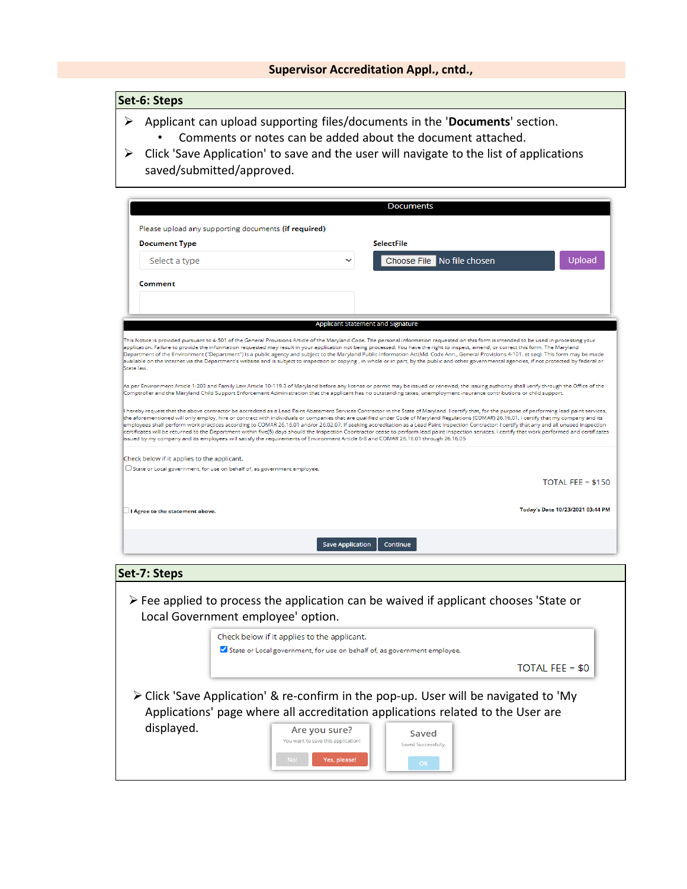# **Set-6: Steps**

- Applicant can upload supporting files/documents in the '**Documents**' section.
	- Comments or notes can be added about the document attached.
- $\triangleright$  Click 'Save Application' to save and the user will navigate to the list of applications saved/submitted/approved.

|                                                                                                                                                                                    |                         | <b>SelectFile</b>                                                                                                                                                                                                                                                                                                                                                                                                                                                                                                                                                                                                                                                                                                                                                                                               |                                  |
|------------------------------------------------------------------------------------------------------------------------------------------------------------------------------------|-------------------------|-----------------------------------------------------------------------------------------------------------------------------------------------------------------------------------------------------------------------------------------------------------------------------------------------------------------------------------------------------------------------------------------------------------------------------------------------------------------------------------------------------------------------------------------------------------------------------------------------------------------------------------------------------------------------------------------------------------------------------------------------------------------------------------------------------------------|----------------------------------|
| <b>Document Type</b>                                                                                                                                                               |                         |                                                                                                                                                                                                                                                                                                                                                                                                                                                                                                                                                                                                                                                                                                                                                                                                                 |                                  |
| Select a type                                                                                                                                                                      |                         | Choose File No file chosen                                                                                                                                                                                                                                                                                                                                                                                                                                                                                                                                                                                                                                                                                                                                                                                      | Upload                           |
| Comment                                                                                                                                                                            |                         |                                                                                                                                                                                                                                                                                                                                                                                                                                                                                                                                                                                                                                                                                                                                                                                                                 |                                  |
|                                                                                                                                                                                    |                         |                                                                                                                                                                                                                                                                                                                                                                                                                                                                                                                                                                                                                                                                                                                                                                                                                 |                                  |
|                                                                                                                                                                                    |                         | <b>Applicant Statement and Signature</b>                                                                                                                                                                                                                                                                                                                                                                                                                                                                                                                                                                                                                                                                                                                                                                        |                                  |
| State law.                                                                                                                                                                         |                         | This Notice is provided pursuant to 4-501 of the General Provisions Article of the Maryland Code. The personal information requested on this form is intended to be used in processing your<br>application. Failure to provide the information requested may result in your application not being processed. You have the right to inspect, amend, or correct this form. The Maryland<br>Department of the Environment ("Department") is a public agency and subject to the Maryland Public Information Act(Md. Code Ann., General Provisions 4-101. et seq). This form may be made<br>available on the internet via the Department's website and is subject to inspection or copying , in whole or in part, by the public and other governmental agencies, if not protected by federal or                      |                                  |
|                                                                                                                                                                                    |                         | As per Environment Article 1-203 and Family Law Article 10-119.3 of Maryland before any license or permit may be issued or renewed, the issuing authority shall verify through the Office of the<br>Comptroller and the Maryland Child Support Enforcement Administration that the applicant has no outstanding taxes, unemployment insurance contributions or child support.                                                                                                                                                                                                                                                                                                                                                                                                                                   |                                  |
|                                                                                                                                                                                    |                         |                                                                                                                                                                                                                                                                                                                                                                                                                                                                                                                                                                                                                                                                                                                                                                                                                 |                                  |
|                                                                                                                                                                                    |                         | hereby request that the above contractor be accredited as a Lead Paint Abatement Services Contractor in the State of Maryland. I certify that, for the purpose of performing lead paint services,<br>the aforementioned will only employ, hire or contract with individuals or companies that are qualified under Code of Maryland Regulations (COMAR) 26.16.01. I certify that my company and its<br>employees shall perform work practices according to COMAR 26.16.01 and/or 26.02.07. If seeking accreditation as a Lead Paint Inspection Contractor; I certify that any and all unused inspection<br>certificates will be returned to the Department within five(5) days should the Inspection Coontractor cease to perform lead paint inspection services. I certify that work performed and certificates |                                  |
| issued by my company and its employees will satisfy the requirements of Environment Article 6-8 and COMAR 26.16.01 through 26.16.05<br>Check below if it applies to the applicant. |                         |                                                                                                                                                                                                                                                                                                                                                                                                                                                                                                                                                                                                                                                                                                                                                                                                                 |                                  |
|                                                                                                                                                                                    |                         |                                                                                                                                                                                                                                                                                                                                                                                                                                                                                                                                                                                                                                                                                                                                                                                                                 |                                  |
| U State or Local government, for use on behalf of, as government employee.                                                                                                         |                         |                                                                                                                                                                                                                                                                                                                                                                                                                                                                                                                                                                                                                                                                                                                                                                                                                 | TOTAL FEE = $$150$               |
| I Agree to the statement above.                                                                                                                                                    |                         |                                                                                                                                                                                                                                                                                                                                                                                                                                                                                                                                                                                                                                                                                                                                                                                                                 |                                  |
|                                                                                                                                                                                    | <b>Save Application</b> | Continue                                                                                                                                                                                                                                                                                                                                                                                                                                                                                                                                                                                                                                                                                                                                                                                                        | Today's Date 10/23/2021 03:44 PM |

|            | Check below if it applies to the applicant. | State or Local government, for use on behalf of, as government employee. |                     |                                                                                                                                                                                        |
|------------|---------------------------------------------|--------------------------------------------------------------------------|---------------------|----------------------------------------------------------------------------------------------------------------------------------------------------------------------------------------|
|            |                                             |                                                                          |                     | TOTAL FEE = $$0$                                                                                                                                                                       |
|            |                                             |                                                                          |                     |                                                                                                                                                                                        |
|            |                                             |                                                                          |                     |                                                                                                                                                                                        |
|            |                                             |                                                                          |                     | $\triangleright$ Click 'Save Application' & re-confirm in the pop-up. User will be navigated to 'My<br>Applications' page where all accreditation applications related to the User are |
| displayed. |                                             | Are you sure?                                                            | Saved               |                                                                                                                                                                                        |
|            |                                             | You want to save this application!                                       | Saved Successfully. |                                                                                                                                                                                        |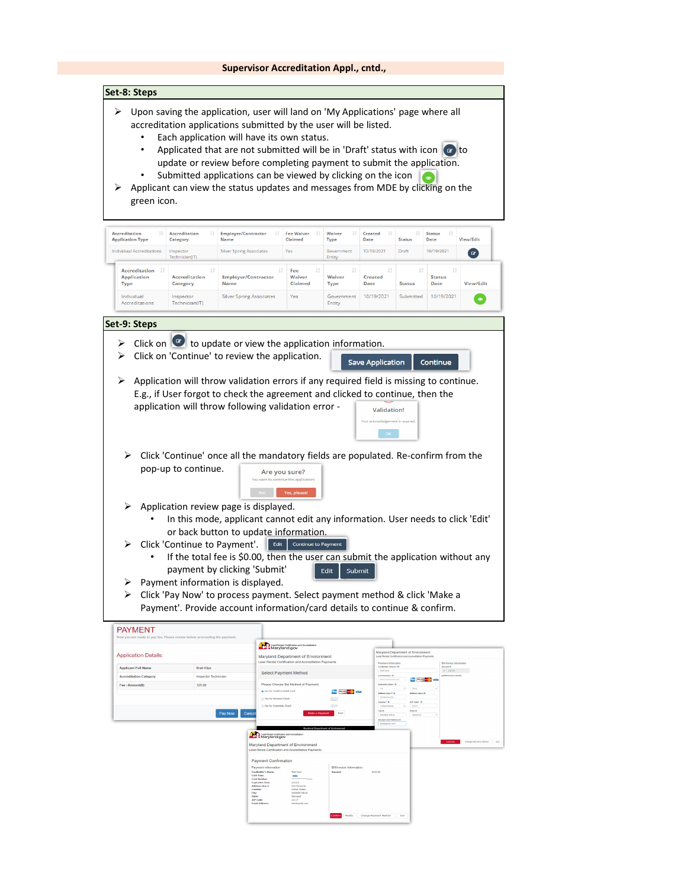| ⋗<br>⋗<br>green icon.                                                              |                                                                           | Upon saving the application, user will land on 'My Applications' page where all<br>accreditation applications submitted by the user will be listed.<br>Each application will have its own status.<br>Applicated that are not submitted will be in 'Draft' status with icon $\boxed{c}$ to<br>update or review before completing payment to submit the application.<br>Submitted applications can be viewed by clicking on the icon<br>Applicant can view the status updates and messages from MDE by clicking on the |                                                                                            |                                                            |                                                                                                                 |                                                                    |                                                                         |                              |
|------------------------------------------------------------------------------------|---------------------------------------------------------------------------|----------------------------------------------------------------------------------------------------------------------------------------------------------------------------------------------------------------------------------------------------------------------------------------------------------------------------------------------------------------------------------------------------------------------------------------------------------------------------------------------------------------------|--------------------------------------------------------------------------------------------|------------------------------------------------------------|-----------------------------------------------------------------------------------------------------------------|--------------------------------------------------------------------|-------------------------------------------------------------------------|------------------------------|
| <b>Accreditation</b><br><b>Application Type</b>                                    | <b>Accreditation</b><br>1î<br>Category                                    | <b>Employer/Contractor</b><br>1î<br><b>Name</b>                                                                                                                                                                                                                                                                                                                                                                                                                                                                      | <b>Fee Waiver</b><br>Claimed                                                               | Waiver<br><b>Type</b>                                      | Created<br>Date                                                                                                 | $_{11}$<br><b>Status</b>                                           | <b>Status</b><br><b>Date</b>                                            | View/Edit                    |
| <b>Individual Accreditations</b>                                                   | Inspector<br>Technician(IT)                                               | <b>Silver Spring Associates</b>                                                                                                                                                                                                                                                                                                                                                                                                                                                                                      | Yes                                                                                        | Government<br>Entity                                       | 10/19/2021                                                                                                      | Draft                                                              | 10/19/2021                                                              | $\alpha$                     |
| <b>Accreditation</b><br><b>Application</b><br><b>Type</b>                          | <b>Accreditation</b><br>Category                                          | <b>Employer/Contractor</b><br><b>Name</b>                                                                                                                                                                                                                                                                                                                                                                                                                                                                            | Fee<br>Waiver<br>Claimed                                                                   | Waiver<br><b>Type</b>                                      | <b>Created</b><br><b>Date</b>                                                                                   | <b>Status</b>                                                      | л<br><b>Status</b><br>Date                                              | <b>View/Edit</b>             |
| Individual<br>Accreditations                                                       | Inspector<br>Technician(IT)                                               | <b>Silver Spring Associates</b>                                                                                                                                                                                                                                                                                                                                                                                                                                                                                      | Yes                                                                                        | Government<br>Entity                                       | 10/19/2021                                                                                                      | Submitted                                                          | 10/19/2021                                                              | $\bullet$                    |
| Set-9: Steps                                                                       |                                                                           |                                                                                                                                                                                                                                                                                                                                                                                                                                                                                                                      |                                                                                            |                                                            |                                                                                                                 |                                                                    |                                                                         |                              |
|                                                                                    |                                                                           | > Click on $\Box$ to update or view the application information.                                                                                                                                                                                                                                                                                                                                                                                                                                                     |                                                                                            |                                                            |                                                                                                                 |                                                                    |                                                                         |                              |
| ➤                                                                                  |                                                                           | Click on 'Continue' to review the application.                                                                                                                                                                                                                                                                                                                                                                                                                                                                       |                                                                                            |                                                            | <b>Save Application</b>                                                                                         |                                                                    | Continue                                                                |                              |
| E.g., if User forgot to check the agreement and clicked to continue, then the<br>➤ | pop-up to continue.                                                       | application will throw following validation error -<br>Click 'Continue' once all the mandatory fields are populated. Re-confirm from the                                                                                                                                                                                                                                                                                                                                                                             | Are you sure?                                                                              |                                                            | <b>Validation!</b><br>Your acknowledgement is required.<br>OC                                                   |                                                                    |                                                                         |                              |
| ⋗<br>➤<br>⋗                                                                        | Click 'Continue to Payment'.                                              | Application review page is displayed.<br>In this mode, applicant cannot edit any information. User needs to click 'Edit'<br>or back button to update information.<br>Edit<br>If the total fee is \$0.00, then the user can submit the application without any<br>payment by clicking 'Submit'<br>Payment information is displayed.                                                                                                                                                                                   | You want to continue this application!<br>Yes, please!<br><b>Continue to Payment</b>       | Edit<br>Submit                                             |                                                                                                                 |                                                                    |                                                                         |                              |
| ⋗                                                                                  |                                                                           | Click 'Pay Now' to process payment. Select payment method & click 'Make a<br>Payment'. Provide account information/card details to continue & confirm.                                                                                                                                                                                                                                                                                                                                                               |                                                                                            |                                                            |                                                                                                                 |                                                                    |                                                                         |                              |
| PAYMENT                                                                            |                                                                           |                                                                                                                                                                                                                                                                                                                                                                                                                                                                                                                      |                                                                                            |                                                            |                                                                                                                 |                                                                    |                                                                         |                              |
|                                                                                    | Now you are ready to pay fee. Please review before proceeding the payment |                                                                                                                                                                                                                                                                                                                                                                                                                                                                                                                      | <b>New York Certification and Accreditatio</b>                                             |                                                            |                                                                                                                 | Maryland Department of Environmen                                  |                                                                         |                              |
| <b>Application Details:</b><br><b>Applicant Full Name</b>                          | <b>Brett Klipz</b>                                                        |                                                                                                                                                                                                                                                                                                                                                                                                                                                                                                                      | Maryland Department of Environment<br>Lead Rental Certification and Accreditation Payments |                                                            | Lead Rental Cer<br>Payment Information<br>Cardbolder's Name* O                                                  |                                                                    | Bill/hydice Information<br><b>Anount O</b>                              |                              |
| <b>Accreditation Category</b><br>Fee / Amount(\$)                                  | <b>Inspector Technician</b><br>125.00                                     |                                                                                                                                                                                                                                                                                                                                                                                                                                                                                                                      | Select Payment Method<br>Please Choose the Method of Paymen                                |                                                            | Test Card<br>Card Number* O<br>$\begin{array}{c} 411111111111111\\ \end{array}$<br>Expiration Date* O           |                                                                    | 125.00<br><b>In milk (Texas)ca Parkello</b><br><b>THE PROPERTY VISA</b> |                              |
|                                                                                    |                                                                           | O Pay by Personal Check<br>C: Pay by Corporate Check<br>Pay Now<br>Cance                                                                                                                                                                                                                                                                                                                                                                                                                                             | Pay by Credit or Debit Card                                                                | <b>CONTRACTOR</b> VISA<br>c.a<br><b>State</b><br>ment Exit | 02<br>Address Line 1* O<br>512 Honne De<br>Country <sup>*</sup> $0$<br>unted<br>$c_{\rm FV}$ 0<br>ELER EDVISION | 2023<br>Address Line 2 O<br><b>ZIP Code*</b> 0<br>21117<br>State O |                                                                         |                              |
|                                                                                    |                                                                           |                                                                                                                                                                                                                                                                                                                                                                                                                                                                                                                      |                                                                                            |                                                            | O associate figure poor<br>testipgmail.com                                                                      |                                                                    |                                                                         |                              |
|                                                                                    |                                                                           | Lead Rental Certification and                                                                                                                                                                                                                                                                                                                                                                                                                                                                                        | Maryland Department of Environment<br>Lead Rental Certification and Accreditation Paymen   |                                                            |                                                                                                                 |                                                                    |                                                                         | Change Payment Method   Exit |